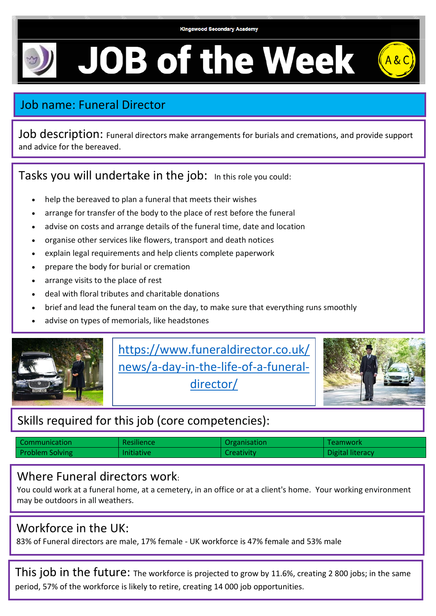# **JOB of the Week**

# Job name: Funeral Director

Job description: Funeral directors make arrangements for burials and cremations, and provide support and advice for the bereaved.

Tasks you will undertake in the job: In this role you could:

- help the bereaved to plan a funeral that meets their wishes
- arrange for transfer of the body to the place of rest before the funeral
- advise on costs and arrange details of the funeral time, date and location
- organise other services like flowers, transport and death notices
- explain legal requirements and help clients complete paperwork
- prepare the body for burial or cremation
- arrange visits to the place of rest
- deal with floral tributes and charitable donations
- brief and lead the funeral team on the day, to make sure that everything runs smoothly
- advise on types of memorials, like headstones



[https://www.funeraldirector.co.uk/](https://www.funeraldirector.co.uk/news/a-day-in-the-life-of-a-funeral-director/) [news/a-day-in-the-life-of-a-funeral](https://www.funeraldirector.co.uk/news/a-day-in-the-life-of-a-funeral-director/)[director/](https://www.funeraldirector.co.uk/news/a-day-in-the-life-of-a-funeral-director/)



## Skills required for this job (core competencies):

| l Communication        | <b>Resiliencer</b> | Organisation | Teamwork         |
|------------------------|--------------------|--------------|------------------|
| <b>Problem Solving</b> | <b>Initiative</b>  | Creativity   | Digital literacy |

#### Where Funeral directors work:

You could work at a funeral home, at a cemetery, in an office or at a client's home. Your working environment may be outdoors in all weathers.

## Workforce in the UK:

83% of Funeral directors are male, 17% female - UK workforce is 47% female and 53% male

This job in the future: The workforce is projected to grow by 11.6%, creating 2 800 jobs; in the same period, 57% of the workforce is likely to retire, creating 14 000 job opportunities.